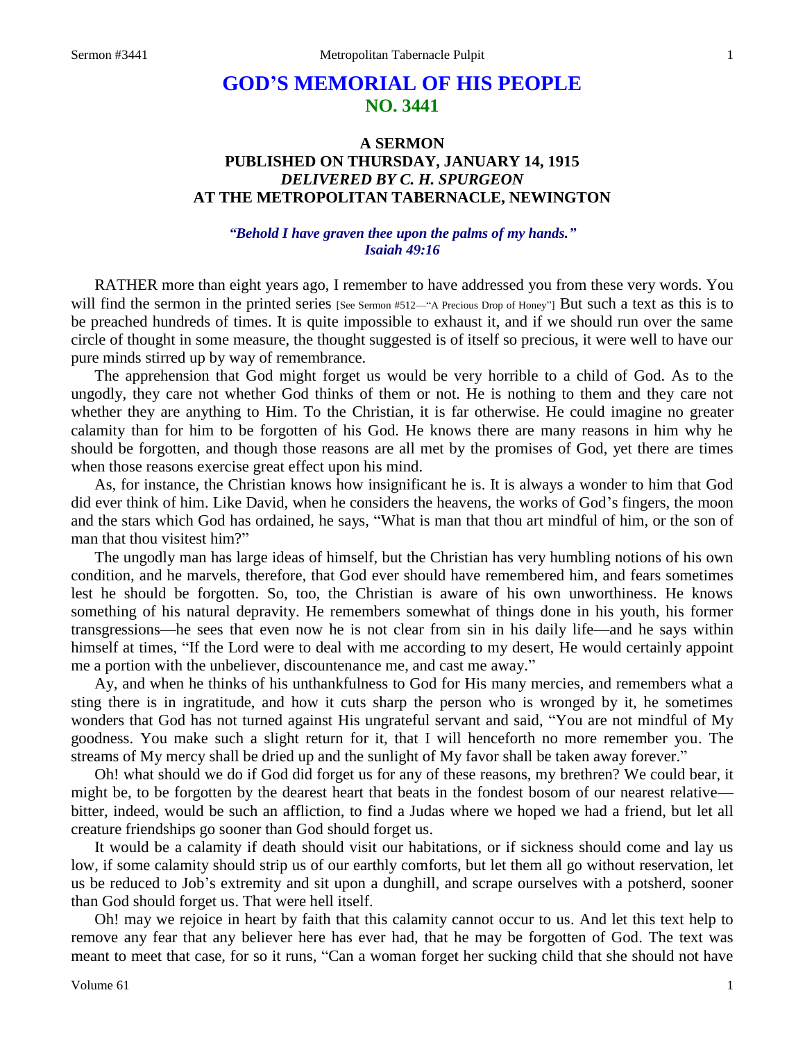# **GOD'S MEMORIAL OF HIS PEOPLE NO. 3441**

## **A SERMON PUBLISHED ON THURSDAY, JANUARY 14, 1915** *DELIVERED BY C. H. SPURGEON* **AT THE METROPOLITAN TABERNACLE, NEWINGTON**

## *"Behold I have graven thee upon the palms of my hands." Isaiah 49:16*

RATHER more than eight years ago, I remember to have addressed you from these very words. You will find the sermon in the printed series [See Sermon #512—"A Precious Drop of Honey"] But such a text as this is to be preached hundreds of times. It is quite impossible to exhaust it, and if we should run over the same circle of thought in some measure, the thought suggested is of itself so precious, it were well to have our pure minds stirred up by way of remembrance.

The apprehension that God might forget us would be very horrible to a child of God. As to the ungodly, they care not whether God thinks of them or not. He is nothing to them and they care not whether they are anything to Him. To the Christian, it is far otherwise. He could imagine no greater calamity than for him to be forgotten of his God. He knows there are many reasons in him why he should be forgotten, and though those reasons are all met by the promises of God, yet there are times when those reasons exercise great effect upon his mind.

As, for instance, the Christian knows how insignificant he is. It is always a wonder to him that God did ever think of him. Like David, when he considers the heavens, the works of God's fingers, the moon and the stars which God has ordained, he says, "What is man that thou art mindful of him, or the son of man that thou visitest him?"

The ungodly man has large ideas of himself, but the Christian has very humbling notions of his own condition, and he marvels, therefore, that God ever should have remembered him, and fears sometimes lest he should be forgotten. So, too, the Christian is aware of his own unworthiness. He knows something of his natural depravity. He remembers somewhat of things done in his youth, his former transgressions—he sees that even now he is not clear from sin in his daily life—and he says within himself at times, "If the Lord were to deal with me according to my desert, He would certainly appoint me a portion with the unbeliever, discountenance me, and cast me away."

Ay, and when he thinks of his unthankfulness to God for His many mercies, and remembers what a sting there is in ingratitude, and how it cuts sharp the person who is wronged by it, he sometimes wonders that God has not turned against His ungrateful servant and said, "You are not mindful of My goodness. You make such a slight return for it, that I will henceforth no more remember you. The streams of My mercy shall be dried up and the sunlight of My favor shall be taken away forever."

Oh! what should we do if God did forget us for any of these reasons, my brethren? We could bear, it might be, to be forgotten by the dearest heart that beats in the fondest bosom of our nearest relative bitter, indeed, would be such an affliction, to find a Judas where we hoped we had a friend, but let all creature friendships go sooner than God should forget us.

It would be a calamity if death should visit our habitations, or if sickness should come and lay us low, if some calamity should strip us of our earthly comforts, but let them all go without reservation, let us be reduced to Job's extremity and sit upon a dunghill, and scrape ourselves with a potsherd, sooner than God should forget us. That were hell itself.

Oh! may we rejoice in heart by faith that this calamity cannot occur to us. And let this text help to remove any fear that any believer here has ever had, that he may be forgotten of God. The text was meant to meet that case, for so it runs, "Can a woman forget her sucking child that she should not have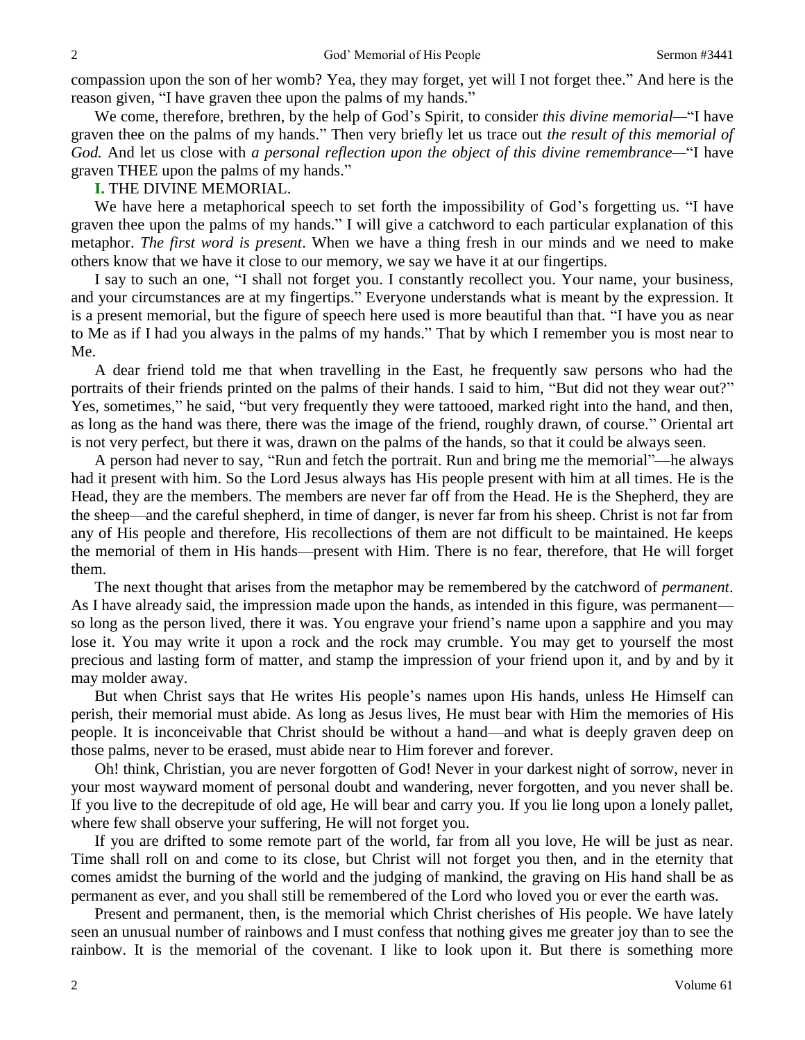compassion upon the son of her womb? Yea, they may forget, yet will I not forget thee." And here is the reason given, "I have graven thee upon the palms of my hands."

We come, therefore, brethren, by the help of God's Spirit, to consider *this divine memorial—*"I have graven thee on the palms of my hands." Then very briefly let us trace out *the result of this memorial of God.* And let us close with *a personal reflection upon the object of this divine remembrance—*"I have graven THEE upon the palms of my hands."

## **I.** THE DIVINE MEMORIAL.

We have here a metaphorical speech to set forth the impossibility of God's forgetting us. "I have graven thee upon the palms of my hands." I will give a catchword to each particular explanation of this metaphor. *The first word is present*. When we have a thing fresh in our minds and we need to make others know that we have it close to our memory, we say we have it at our fingertips.

I say to such an one, "I shall not forget you. I constantly recollect you. Your name, your business, and your circumstances are at my fingertips." Everyone understands what is meant by the expression. It is a present memorial, but the figure of speech here used is more beautiful than that. "I have you as near to Me as if I had you always in the palms of my hands." That by which I remember you is most near to Me.

A dear friend told me that when travelling in the East, he frequently saw persons who had the portraits of their friends printed on the palms of their hands. I said to him, "But did not they wear out?" Yes, sometimes," he said, "but very frequently they were tattooed, marked right into the hand, and then, as long as the hand was there, there was the image of the friend, roughly drawn, of course." Oriental art is not very perfect, but there it was, drawn on the palms of the hands, so that it could be always seen.

A person had never to say, "Run and fetch the portrait. Run and bring me the memorial"—he always had it present with him. So the Lord Jesus always has His people present with him at all times. He is the Head, they are the members. The members are never far off from the Head. He is the Shepherd, they are the sheep—and the careful shepherd, in time of danger, is never far from his sheep. Christ is not far from any of His people and therefore, His recollections of them are not difficult to be maintained. He keeps the memorial of them in His hands—present with Him. There is no fear, therefore, that He will forget them.

The next thought that arises from the metaphor may be remembered by the catchword of *permanent*. As I have already said, the impression made upon the hands, as intended in this figure, was permanent so long as the person lived, there it was. You engrave your friend's name upon a sapphire and you may lose it. You may write it upon a rock and the rock may crumble. You may get to yourself the most precious and lasting form of matter, and stamp the impression of your friend upon it, and by and by it may molder away.

But when Christ says that He writes His people's names upon His hands, unless He Himself can perish, their memorial must abide. As long as Jesus lives, He must bear with Him the memories of His people. It is inconceivable that Christ should be without a hand—and what is deeply graven deep on those palms, never to be erased, must abide near to Him forever and forever.

Oh! think, Christian, you are never forgotten of God! Never in your darkest night of sorrow, never in your most wayward moment of personal doubt and wandering, never forgotten, and you never shall be. If you live to the decrepitude of old age, He will bear and carry you. If you lie long upon a lonely pallet, where few shall observe your suffering, He will not forget you.

If you are drifted to some remote part of the world, far from all you love, He will be just as near. Time shall roll on and come to its close, but Christ will not forget you then, and in the eternity that comes amidst the burning of the world and the judging of mankind, the graving on His hand shall be as permanent as ever, and you shall still be remembered of the Lord who loved you or ever the earth was.

Present and permanent, then, is the memorial which Christ cherishes of His people. We have lately seen an unusual number of rainbows and I must confess that nothing gives me greater joy than to see the rainbow. It is the memorial of the covenant. I like to look upon it. But there is something more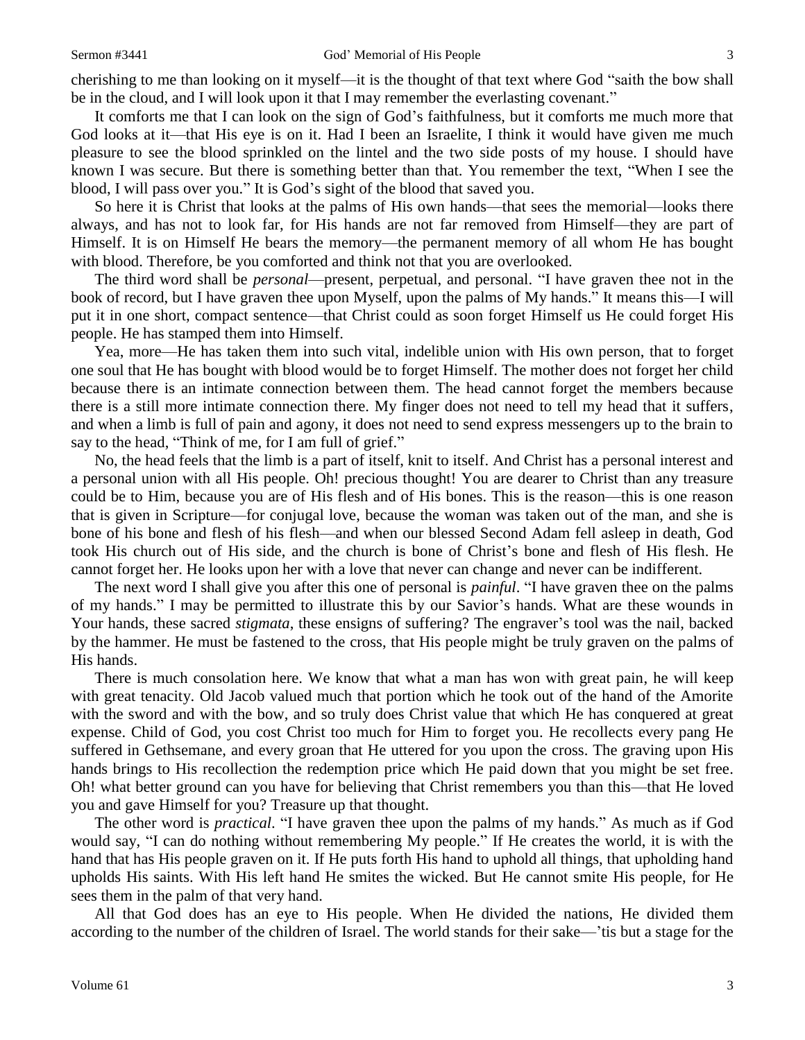cherishing to me than looking on it myself—it is the thought of that text where God "saith the bow shall be in the cloud, and I will look upon it that I may remember the everlasting covenant."

It comforts me that I can look on the sign of God's faithfulness, but it comforts me much more that God looks at it—that His eye is on it. Had I been an Israelite, I think it would have given me much pleasure to see the blood sprinkled on the lintel and the two side posts of my house. I should have known I was secure. But there is something better than that. You remember the text, "When I see the blood, I will pass over you." It is God's sight of the blood that saved you.

So here it is Christ that looks at the palms of His own hands—that sees the memorial—looks there always, and has not to look far, for His hands are not far removed from Himself—they are part of Himself. It is on Himself He bears the memory—the permanent memory of all whom He has bought with blood. Therefore, be you comforted and think not that you are overlooked.

The third word shall be *personal*—present, perpetual, and personal. "I have graven thee not in the book of record, but I have graven thee upon Myself, upon the palms of My hands." It means this—I will put it in one short, compact sentence—that Christ could as soon forget Himself us He could forget His people. He has stamped them into Himself.

Yea, more—He has taken them into such vital, indelible union with His own person, that to forget one soul that He has bought with blood would be to forget Himself. The mother does not forget her child because there is an intimate connection between them. The head cannot forget the members because there is a still more intimate connection there. My finger does not need to tell my head that it suffers, and when a limb is full of pain and agony, it does not need to send express messengers up to the brain to say to the head, "Think of me, for I am full of grief."

No, the head feels that the limb is a part of itself, knit to itself. And Christ has a personal interest and a personal union with all His people. Oh! precious thought! You are dearer to Christ than any treasure could be to Him, because you are of His flesh and of His bones. This is the reason—this is one reason that is given in Scripture—for conjugal love, because the woman was taken out of the man, and she is bone of his bone and flesh of his flesh—and when our blessed Second Adam fell asleep in death, God took His church out of His side, and the church is bone of Christ's bone and flesh of His flesh. He cannot forget her. He looks upon her with a love that never can change and never can be indifferent.

The next word I shall give you after this one of personal is *painful*. "I have graven thee on the palms of my hands." I may be permitted to illustrate this by our Savior's hands. What are these wounds in Your hands, these sacred *stigmata*, these ensigns of suffering? The engraver's tool was the nail, backed by the hammer. He must be fastened to the cross, that His people might be truly graven on the palms of His hands.

There is much consolation here. We know that what a man has won with great pain, he will keep with great tenacity. Old Jacob valued much that portion which he took out of the hand of the Amorite with the sword and with the bow, and so truly does Christ value that which He has conquered at great expense. Child of God, you cost Christ too much for Him to forget you. He recollects every pang He suffered in Gethsemane, and every groan that He uttered for you upon the cross. The graving upon His hands brings to His recollection the redemption price which He paid down that you might be set free. Oh! what better ground can you have for believing that Christ remembers you than this—that He loved you and gave Himself for you? Treasure up that thought.

The other word is *practical*. "I have graven thee upon the palms of my hands." As much as if God would say, "I can do nothing without remembering My people." If He creates the world, it is with the hand that has His people graven on it. If He puts forth His hand to uphold all things, that upholding hand upholds His saints. With His left hand He smites the wicked. But He cannot smite His people, for He sees them in the palm of that very hand.

All that God does has an eye to His people. When He divided the nations, He divided them according to the number of the children of Israel. The world stands for their sake—'tis but a stage for the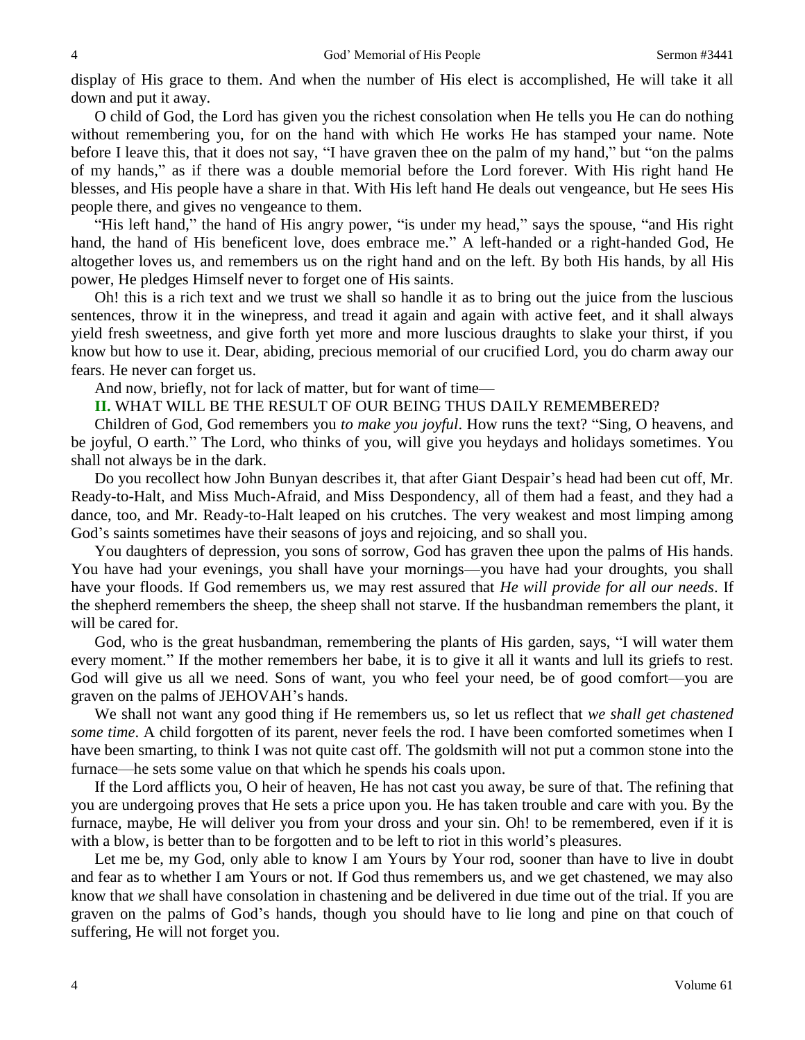display of His grace to them. And when the number of His elect is accomplished, He will take it all down and put it away.

O child of God, the Lord has given you the richest consolation when He tells you He can do nothing without remembering you, for on the hand with which He works He has stamped your name. Note before I leave this, that it does not say, "I have graven thee on the palm of my hand," but "on the palms of my hands," as if there was a double memorial before the Lord forever. With His right hand He blesses, and His people have a share in that. With His left hand He deals out vengeance, but He sees His people there, and gives no vengeance to them.

"His left hand," the hand of His angry power, "is under my head," says the spouse, "and His right hand, the hand of His beneficent love, does embrace me." A left-handed or a right-handed God, He altogether loves us, and remembers us on the right hand and on the left. By both His hands, by all His power, He pledges Himself never to forget one of His saints.

Oh! this is a rich text and we trust we shall so handle it as to bring out the juice from the luscious sentences, throw it in the winepress, and tread it again and again with active feet, and it shall always yield fresh sweetness, and give forth yet more and more luscious draughts to slake your thirst, if you know but how to use it. Dear, abiding, precious memorial of our crucified Lord, you do charm away our fears. He never can forget us.

And now, briefly, not for lack of matter, but for want of time—

**II.** WHAT WILL BE THE RESULT OF OUR BEING THUS DAILY REMEMBERED?

Children of God, God remembers you *to make you joyful*. How runs the text? "Sing, O heavens, and be joyful, O earth." The Lord, who thinks of you, will give you heydays and holidays sometimes. You shall not always be in the dark.

Do you recollect how John Bunyan describes it, that after Giant Despair's head had been cut off, Mr. Ready-to-Halt, and Miss Much-Afraid, and Miss Despondency, all of them had a feast, and they had a dance, too, and Mr. Ready-to-Halt leaped on his crutches. The very weakest and most limping among God's saints sometimes have their seasons of joys and rejoicing, and so shall you.

You daughters of depression, you sons of sorrow, God has graven thee upon the palms of His hands. You have had your evenings, you shall have your mornings—you have had your droughts, you shall have your floods. If God remembers us, we may rest assured that *He will provide for all our needs*. If the shepherd remembers the sheep, the sheep shall not starve. If the husbandman remembers the plant, it will be cared for.

God, who is the great husbandman, remembering the plants of His garden, says, "I will water them every moment." If the mother remembers her babe, it is to give it all it wants and lull its griefs to rest. God will give us all we need. Sons of want, you who feel your need, be of good comfort—you are graven on the palms of JEHOVAH's hands.

We shall not want any good thing if He remembers us, so let us reflect that *we shall get chastened some time*. A child forgotten of its parent, never feels the rod. I have been comforted sometimes when I have been smarting, to think I was not quite cast off. The goldsmith will not put a common stone into the furnace—he sets some value on that which he spends his coals upon.

If the Lord afflicts you, O heir of heaven, He has not cast you away, be sure of that. The refining that you are undergoing proves that He sets a price upon you. He has taken trouble and care with you. By the furnace, maybe, He will deliver you from your dross and your sin. Oh! to be remembered, even if it is with a blow, is better than to be forgotten and to be left to riot in this world's pleasures.

Let me be, my God, only able to know I am Yours by Your rod, sooner than have to live in doubt and fear as to whether I am Yours or not. If God thus remembers us, and we get chastened, we may also know that *we* shall have consolation in chastening and be delivered in due time out of the trial. If you are graven on the palms of God's hands, though you should have to lie long and pine on that couch of suffering, He will not forget you.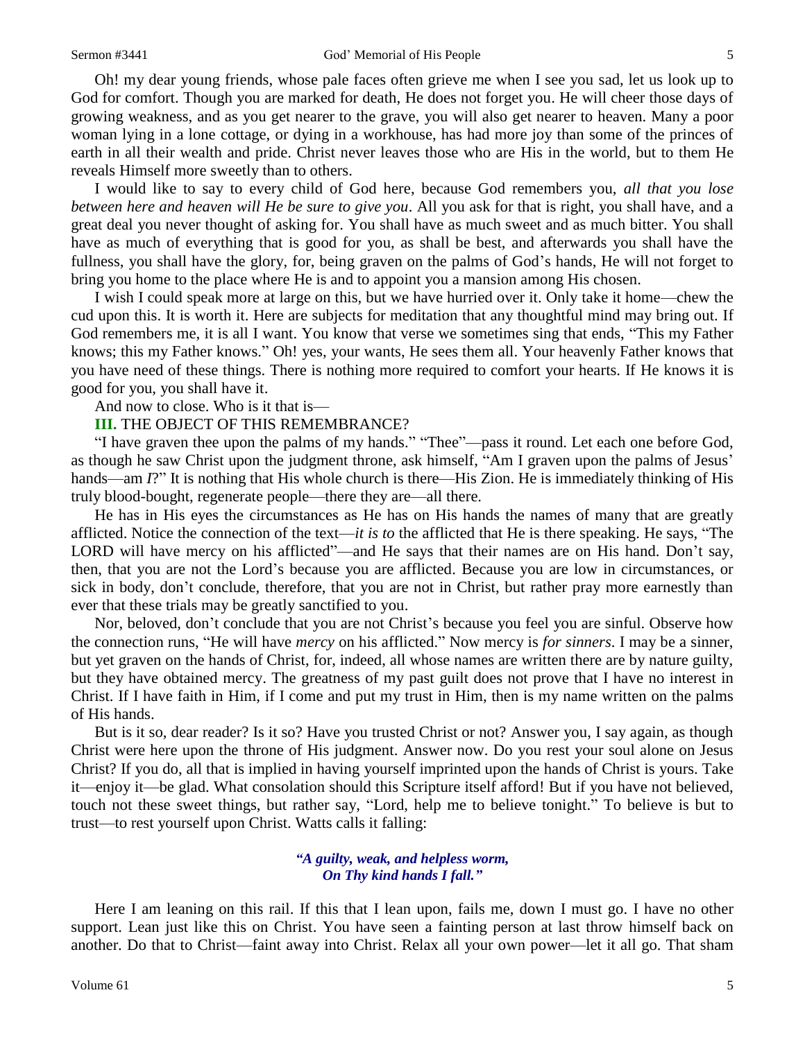#### Sermon #3441 God' Memorial of His People 5

Oh! my dear young friends, whose pale faces often grieve me when I see you sad, let us look up to God for comfort. Though you are marked for death, He does not forget you. He will cheer those days of growing weakness, and as you get nearer to the grave, you will also get nearer to heaven. Many a poor woman lying in a lone cottage, or dying in a workhouse, has had more joy than some of the princes of earth in all their wealth and pride. Christ never leaves those who are His in the world, but to them He reveals Himself more sweetly than to others.

I would like to say to every child of God here, because God remembers you, *all that you lose between here and heaven will He be sure to give you*. All you ask for that is right, you shall have, and a great deal you never thought of asking for. You shall have as much sweet and as much bitter. You shall have as much of everything that is good for you, as shall be best, and afterwards you shall have the fullness, you shall have the glory, for, being graven on the palms of God's hands, He will not forget to bring you home to the place where He is and to appoint you a mansion among His chosen.

I wish I could speak more at large on this, but we have hurried over it. Only take it home—chew the cud upon this. It is worth it. Here are subjects for meditation that any thoughtful mind may bring out. If God remembers me, it is all I want. You know that verse we sometimes sing that ends, "This my Father knows; this my Father knows." Oh! yes, your wants, He sees them all. Your heavenly Father knows that you have need of these things. There is nothing more required to comfort your hearts. If He knows it is good for you, you shall have it.

And now to close. Who is it that is—

#### **III.** THE OBJECT OF THIS REMEMBRANCE?

"I have graven thee upon the palms of my hands." "Thee"—pass it round. Let each one before God, as though he saw Christ upon the judgment throne, ask himself, "Am I graven upon the palms of Jesus' hands—am *I*?" It is nothing that His whole church is there—His Zion. He is immediately thinking of His truly blood-bought, regenerate people—there they are—all there.

He has in His eyes the circumstances as He has on His hands the names of many that are greatly afflicted. Notice the connection of the text—*it is to* the afflicted that He is there speaking. He says, "The LORD will have mercy on his afflicted"—and He says that their names are on His hand. Don't say, then, that you are not the Lord's because you are afflicted. Because you are low in circumstances, or sick in body, don't conclude, therefore, that you are not in Christ, but rather pray more earnestly than ever that these trials may be greatly sanctified to you.

Nor, beloved, don't conclude that you are not Christ's because you feel you are sinful. Observe how the connection runs, "He will have *mercy* on his afflicted." Now mercy is *for sinners*. I may be a sinner, but yet graven on the hands of Christ, for, indeed, all whose names are written there are by nature guilty, but they have obtained mercy. The greatness of my past guilt does not prove that I have no interest in Christ. If I have faith in Him, if I come and put my trust in Him, then is my name written on the palms of His hands.

But is it so, dear reader? Is it so? Have you trusted Christ or not? Answer you, I say again, as though Christ were here upon the throne of His judgment. Answer now. Do you rest your soul alone on Jesus Christ? If you do, all that is implied in having yourself imprinted upon the hands of Christ is yours. Take it—enjoy it—be glad. What consolation should this Scripture itself afford! But if you have not believed, touch not these sweet things, but rather say, "Lord, help me to believe tonight." To believe is but to trust—to rest yourself upon Christ. Watts calls it falling:

#### *"A guilty, weak, and helpless worm, On Thy kind hands I fall."*

Here I am leaning on this rail. If this that I lean upon, fails me, down I must go. I have no other support. Lean just like this on Christ. You have seen a fainting person at last throw himself back on another. Do that to Christ—faint away into Christ. Relax all your own power—let it all go. That sham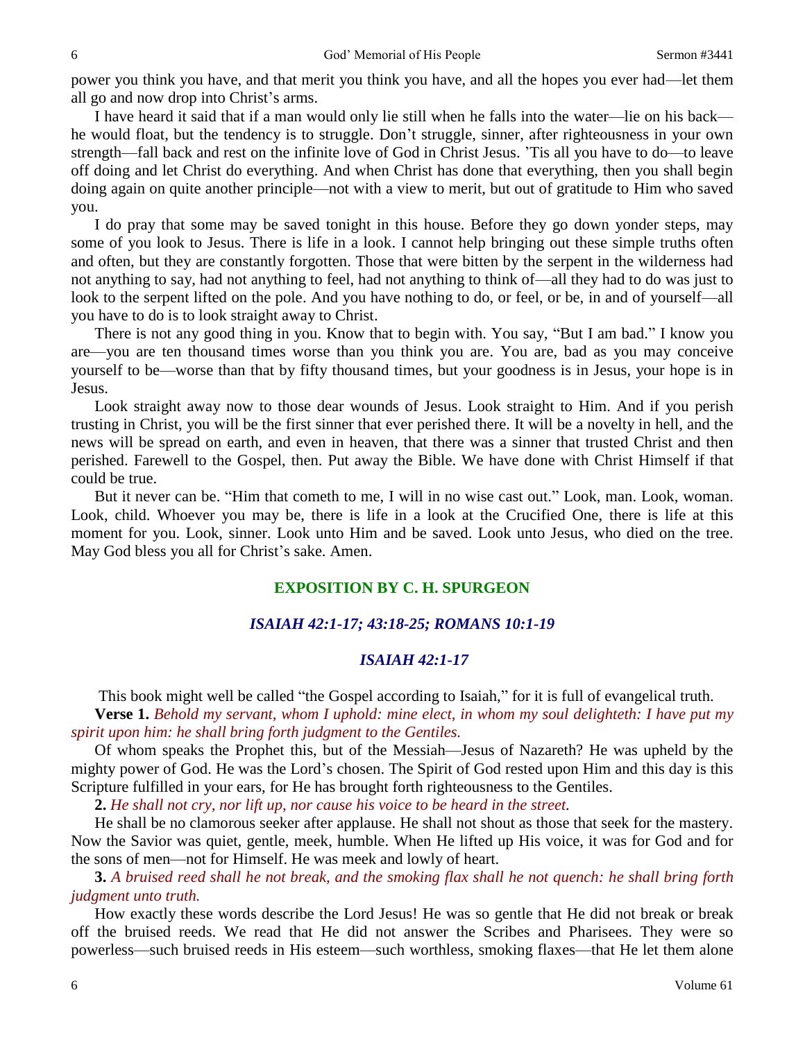power you think you have, and that merit you think you have, and all the hopes you ever had—let them all go and now drop into Christ's arms.

I have heard it said that if a man would only lie still when he falls into the water—lie on his back he would float, but the tendency is to struggle. Don't struggle, sinner, after righteousness in your own strength—fall back and rest on the infinite love of God in Christ Jesus. 'Tis all you have to do—to leave off doing and let Christ do everything. And when Christ has done that everything, then you shall begin doing again on quite another principle—not with a view to merit, but out of gratitude to Him who saved you.

I do pray that some may be saved tonight in this house. Before they go down yonder steps, may some of you look to Jesus. There is life in a look. I cannot help bringing out these simple truths often and often, but they are constantly forgotten. Those that were bitten by the serpent in the wilderness had not anything to say, had not anything to feel, had not anything to think of—all they had to do was just to look to the serpent lifted on the pole. And you have nothing to do, or feel, or be, in and of yourself—all you have to do is to look straight away to Christ.

There is not any good thing in you. Know that to begin with. You say, "But I am bad." I know you are—you are ten thousand times worse than you think you are. You are, bad as you may conceive yourself to be—worse than that by fifty thousand times, but your goodness is in Jesus, your hope is in Jesus.

Look straight away now to those dear wounds of Jesus. Look straight to Him. And if you perish trusting in Christ, you will be the first sinner that ever perished there. It will be a novelty in hell, and the news will be spread on earth, and even in heaven, that there was a sinner that trusted Christ and then perished. Farewell to the Gospel, then. Put away the Bible. We have done with Christ Himself if that could be true.

But it never can be. "Him that cometh to me, I will in no wise cast out." Look, man. Look, woman. Look, child. Whoever you may be, there is life in a look at the Crucified One, there is life at this moment for you. Look, sinner. Look unto Him and be saved. Look unto Jesus, who died on the tree. May God bless you all for Christ's sake. Amen.

## **EXPOSITION BY C. H. SPURGEON**

### *ISAIAH 42:1-17; 43:18-25; ROMANS 10:1-19*

## *ISAIAH 42:1-17*

This book might well be called "the Gospel according to Isaiah," for it is full of evangelical truth.

**Verse 1.** *Behold my servant, whom I uphold: mine elect, in whom my soul delighteth: I have put my spirit upon him: he shall bring forth judgment to the Gentiles.* 

Of whom speaks the Prophet this, but of the Messiah—Jesus of Nazareth? He was upheld by the mighty power of God. He was the Lord's chosen. The Spirit of God rested upon Him and this day is this Scripture fulfilled in your ears, for He has brought forth righteousness to the Gentiles.

**2.** *He shall not cry, nor lift up, nor cause his voice to be heard in the street.* 

He shall be no clamorous seeker after applause. He shall not shout as those that seek for the mastery. Now the Savior was quiet, gentle, meek, humble. When He lifted up His voice, it was for God and for the sons of men—not for Himself. He was meek and lowly of heart.

**3.** *A bruised reed shall he not break, and the smoking flax shall he not quench: he shall bring forth judgment unto truth.* 

How exactly these words describe the Lord Jesus! He was so gentle that He did not break or break off the bruised reeds. We read that He did not answer the Scribes and Pharisees. They were so powerless—such bruised reeds in His esteem—such worthless, smoking flaxes—that He let them alone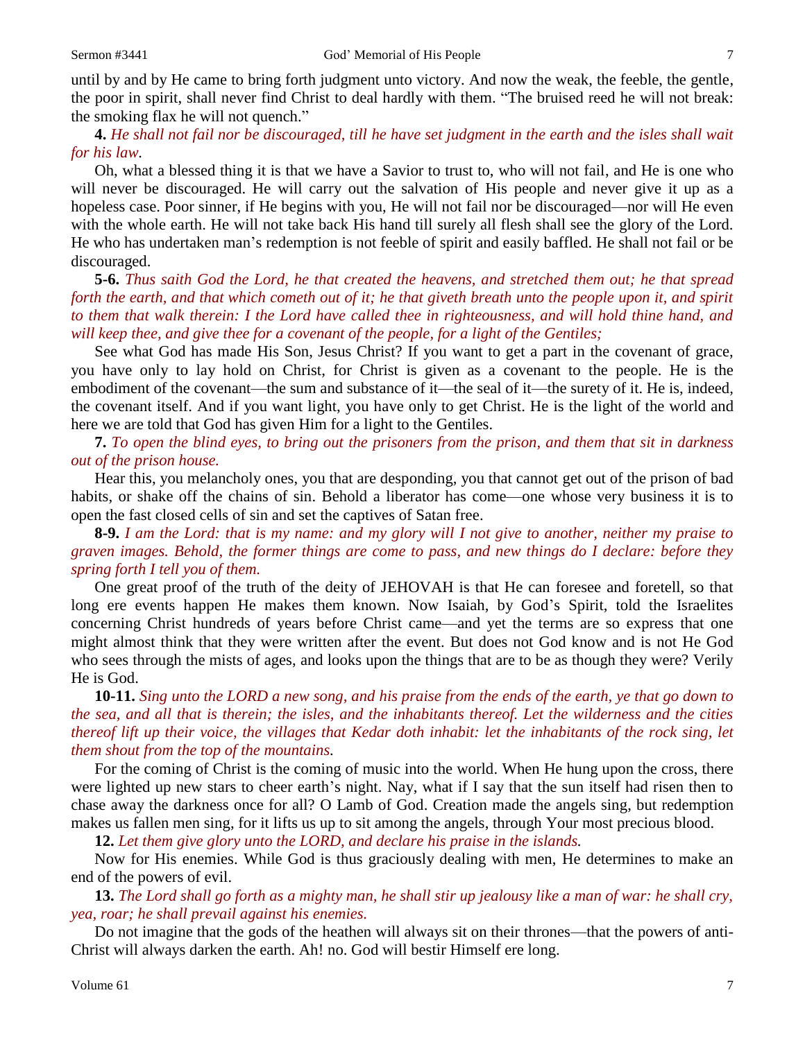until by and by He came to bring forth judgment unto victory. And now the weak, the feeble, the gentle, the poor in spirit, shall never find Christ to deal hardly with them. "The bruised reed he will not break: the smoking flax he will not quench."

**4.** *He shall not fail nor be discouraged, till he have set judgment in the earth and the isles shall wait for his law.* 

Oh, what a blessed thing it is that we have a Savior to trust to, who will not fail, and He is one who will never be discouraged. He will carry out the salvation of His people and never give it up as a hopeless case. Poor sinner, if He begins with you, He will not fail nor be discouraged—nor will He even with the whole earth. He will not take back His hand till surely all flesh shall see the glory of the Lord. He who has undertaken man's redemption is not feeble of spirit and easily baffled. He shall not fail or be discouraged.

**5-6.** *Thus saith God the Lord, he that created the heavens, and stretched them out; he that spread forth the earth, and that which cometh out of it; he that giveth breath unto the people upon it, and spirit to them that walk therein: I the Lord have called thee in righteousness, and will hold thine hand, and will keep thee, and give thee for a covenant of the people, for a light of the Gentiles;*

See what God has made His Son, Jesus Christ? If you want to get a part in the covenant of grace, you have only to lay hold on Christ, for Christ is given as a covenant to the people. He is the embodiment of the covenant—the sum and substance of it—the seal of it—the surety of it. He is, indeed, the covenant itself. And if you want light, you have only to get Christ. He is the light of the world and here we are told that God has given Him for a light to the Gentiles.

**7.** *To open the blind eyes, to bring out the prisoners from the prison, and them that sit in darkness out of the prison house.* 

Hear this, you melancholy ones, you that are desponding, you that cannot get out of the prison of bad habits, or shake off the chains of sin. Behold a liberator has come—one whose very business it is to open the fast closed cells of sin and set the captives of Satan free.

**8-9.** *I am the Lord: that is my name: and my glory will I not give to another, neither my praise to graven images. Behold, the former things are come to pass, and new things do I declare: before they spring forth I tell you of them.*

One great proof of the truth of the deity of JEHOVAH is that He can foresee and foretell, so that long ere events happen He makes them known. Now Isaiah, by God's Spirit, told the Israelites concerning Christ hundreds of years before Christ came—and yet the terms are so express that one might almost think that they were written after the event. But does not God know and is not He God who sees through the mists of ages, and looks upon the things that are to be as though they were? Verily He is God.

**10-11.** *Sing unto the LORD a new song, and his praise from the ends of the earth, ye that go down to the sea, and all that is therein; the isles, and the inhabitants thereof. Let the wilderness and the cities thereof lift up their voice, the villages that Kedar doth inhabit: let the inhabitants of the rock sing, let them shout from the top of the mountains.* 

For the coming of Christ is the coming of music into the world. When He hung upon the cross, there were lighted up new stars to cheer earth's night. Nay, what if I say that the sun itself had risen then to chase away the darkness once for all? O Lamb of God. Creation made the angels sing, but redemption makes us fallen men sing, for it lifts us up to sit among the angels, through Your most precious blood.

**12.** *Let them give glory unto the LORD, and declare his praise in the islands.* 

Now for His enemies. While God is thus graciously dealing with men, He determines to make an end of the powers of evil.

**13.** *The Lord shall go forth as a mighty man, he shall stir up jealousy like a man of war: he shall cry, yea, roar; he shall prevail against his enemies.*

Do not imagine that the gods of the heathen will always sit on their thrones—that the powers of anti-Christ will always darken the earth. Ah! no. God will bestir Himself ere long.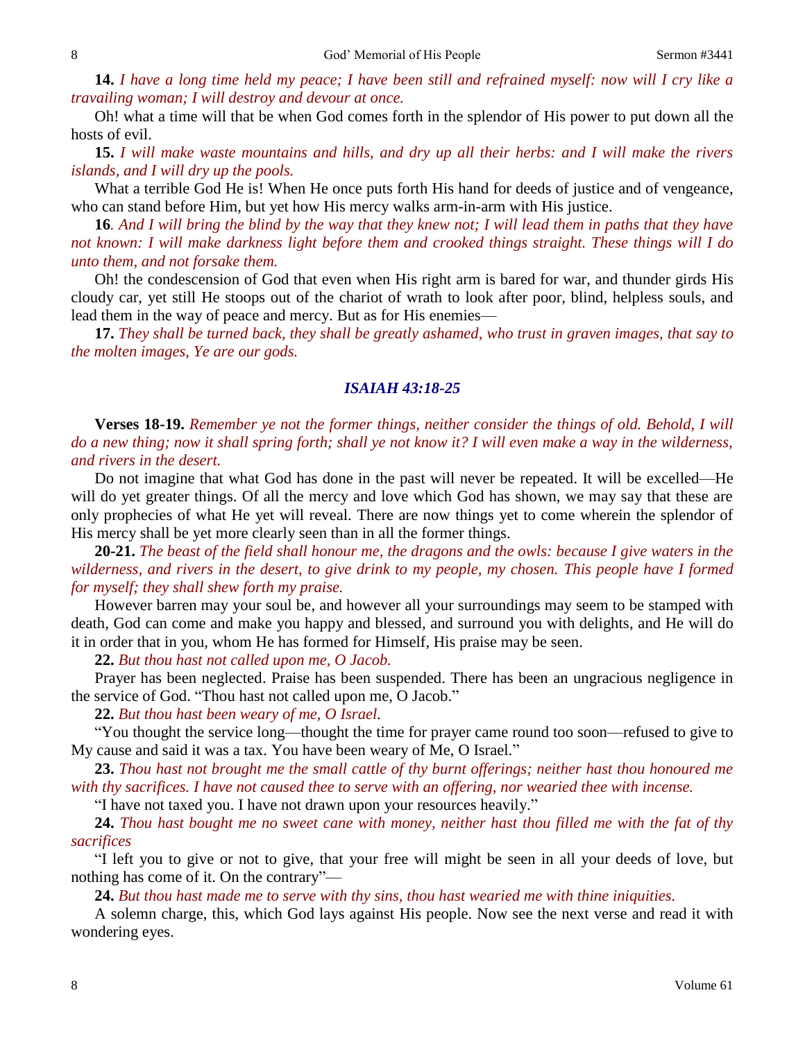**14.** *I have a long time held my peace; I have been still and refrained myself: now will I cry like a travailing woman; I will destroy and devour at once.* 

Oh! what a time will that be when God comes forth in the splendor of His power to put down all the hosts of evil.

**15.** *I will make waste mountains and hills, and dry up all their herbs: and I will make the rivers islands, and I will dry up the pools.* 

What a terrible God He is! When He once puts forth His hand for deeds of justice and of vengeance, who can stand before Him, but yet how His mercy walks arm-in-arm with His justice.

**16***. And I will bring the blind by the way that they knew not; I will lead them in paths that they have not known: I will make darkness light before them and crooked things straight. These things will I do unto them, and not forsake them.* 

Oh! the condescension of God that even when His right arm is bared for war, and thunder girds His cloudy car, yet still He stoops out of the chariot of wrath to look after poor, blind, helpless souls, and lead them in the way of peace and mercy. But as for His enemies—

**17.** *They shall be turned back, they shall be greatly ashamed, who trust in graven images, that say to the molten images, Ye are our gods.* 

## *ISAIAH 43:18-25*

**Verses 18-19.** *Remember ye not the former things, neither consider the things of old. Behold, I will do a new thing; now it shall spring forth; shall ye not know it? I will even make a way in the wilderness, and rivers in the desert.*

Do not imagine that what God has done in the past will never be repeated. It will be excelled—He will do yet greater things. Of all the mercy and love which God has shown, we may say that these are only prophecies of what He yet will reveal. There are now things yet to come wherein the splendor of His mercy shall be yet more clearly seen than in all the former things.

**20-21.** *The beast of the field shall honour me, the dragons and the owls: because I give waters in the wilderness, and rivers in the desert, to give drink to my people, my chosen. This people have I formed for myself; they shall shew forth my praise.*

However barren may your soul be, and however all your surroundings may seem to be stamped with death, God can come and make you happy and blessed, and surround you with delights, and He will do it in order that in you, whom He has formed for Himself, His praise may be seen.

**22.** *But thou hast not called upon me, O Jacob.* 

Prayer has been neglected. Praise has been suspended. There has been an ungracious negligence in the service of God. "Thou hast not called upon me, O Jacob."

**22.** *But thou hast been weary of me, O Israel.* 

"You thought the service long—thought the time for prayer came round too soon—refused to give to My cause and said it was a tax. You have been weary of Me, O Israel."

**23.** *Thou hast not brought me the small cattle of thy burnt offerings; neither hast thou honoured me with thy sacrifices. I have not caused thee to serve with an offering, nor wearied thee with incense.*

"I have not taxed you. I have not drawn upon your resources heavily."

**24.** *Thou hast bought me no sweet cane with money, neither hast thou filled me with the fat of thy sacrifices*

"I left you to give or not to give, that your free will might be seen in all your deeds of love, but nothing has come of it. On the contrary"—

**24.** *But thou hast made me to serve with thy sins, thou hast wearied me with thine iniquities.*

A solemn charge, this, which God lays against His people. Now see the next verse and read it with wondering eyes.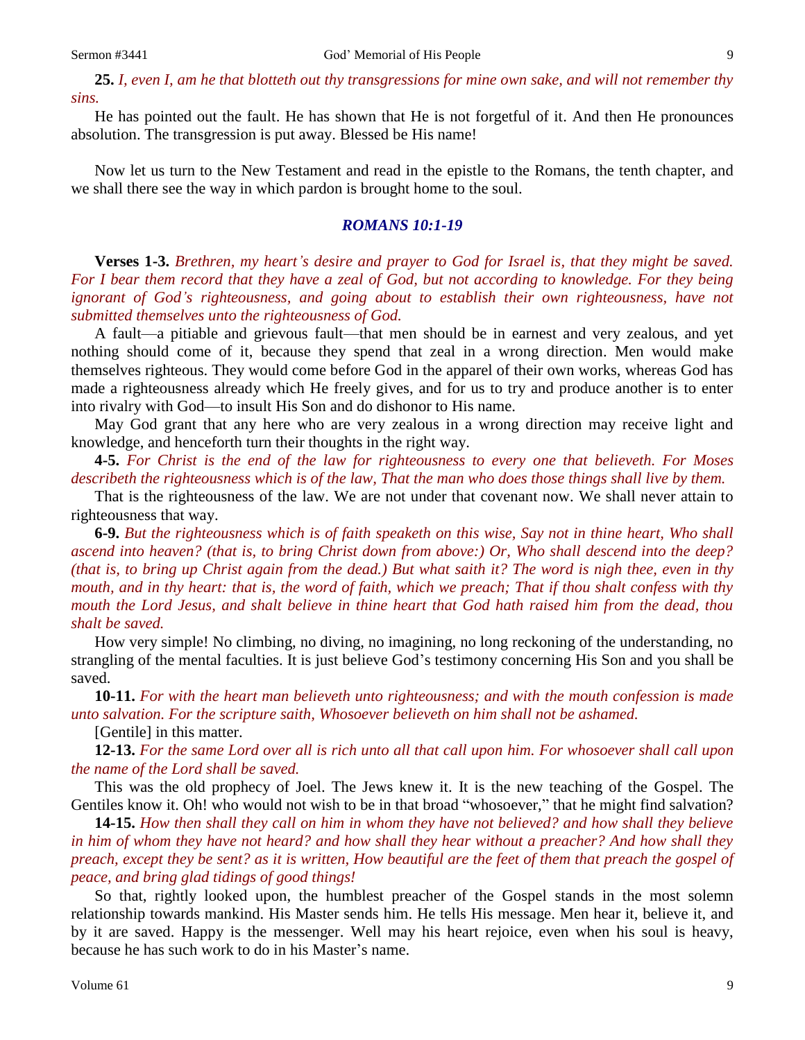**25.** *I, even I, am he that blotteth out thy transgressions for mine own sake, and will not remember thy sins.*

He has pointed out the fault. He has shown that He is not forgetful of it. And then He pronounces absolution. The transgression is put away. Blessed be His name!

Now let us turn to the New Testament and read in the epistle to the Romans, the tenth chapter, and we shall there see the way in which pardon is brought home to the soul.

#### *ROMANS 10:1-19*

**Verses 1-3.** *Brethren, my heart's desire and prayer to God for Israel is, that they might be saved. For I bear them record that they have a zeal of God, but not according to knowledge. For they being ignorant of God's righteousness, and going about to establish their own righteousness, have not submitted themselves unto the righteousness of God.* 

A fault—a pitiable and grievous fault—that men should be in earnest and very zealous, and yet nothing should come of it, because they spend that zeal in a wrong direction. Men would make themselves righteous. They would come before God in the apparel of their own works, whereas God has made a righteousness already which He freely gives, and for us to try and produce another is to enter into rivalry with God—to insult His Son and do dishonor to His name.

May God grant that any here who are very zealous in a wrong direction may receive light and knowledge, and henceforth turn their thoughts in the right way.

**4-5.** *For Christ is the end of the law for righteousness to every one that believeth. For Moses describeth the righteousness which is of the law, That the man who does those things shall live by them.* 

That is the righteousness of the law. We are not under that covenant now. We shall never attain to righteousness that way.

**6-9.** *But the righteousness which is of faith speaketh on this wise, Say not in thine heart, Who shall ascend into heaven? (that is, to bring Christ down from above:) Or, Who shall descend into the deep? (that is, to bring up Christ again from the dead.) But what saith it? The word is nigh thee, even in thy mouth, and in thy heart: that is, the word of faith, which we preach; That if thou shalt confess with thy mouth the Lord Jesus, and shalt believe in thine heart that God hath raised him from the dead, thou shalt be saved.*

How very simple! No climbing, no diving, no imagining, no long reckoning of the understanding, no strangling of the mental faculties. It is just believe God's testimony concerning His Son and you shall be saved.

**10-11.** *For with the heart man believeth unto righteousness; and with the mouth confession is made unto salvation. For the scripture saith, Whosoever believeth on him shall not be ashamed.*

[Gentile] in this matter.

**12-13.** *For the same Lord over all is rich unto all that call upon him. For whosoever shall call upon the name of the Lord shall be saved.* 

This was the old prophecy of Joel. The Jews knew it. It is the new teaching of the Gospel. The Gentiles know it. Oh! who would not wish to be in that broad "whosoever," that he might find salvation?

**14-15.** *How then shall they call on him in whom they have not believed? and how shall they believe in him of whom they have not heard? and how shall they hear without a preacher? And how shall they preach, except they be sent? as it is written, How beautiful are the feet of them that preach the gospel of peace, and bring glad tidings of good things!*

So that, rightly looked upon, the humblest preacher of the Gospel stands in the most solemn relationship towards mankind. His Master sends him. He tells His message. Men hear it, believe it, and by it are saved. Happy is the messenger. Well may his heart rejoice, even when his soul is heavy, because he has such work to do in his Master's name.